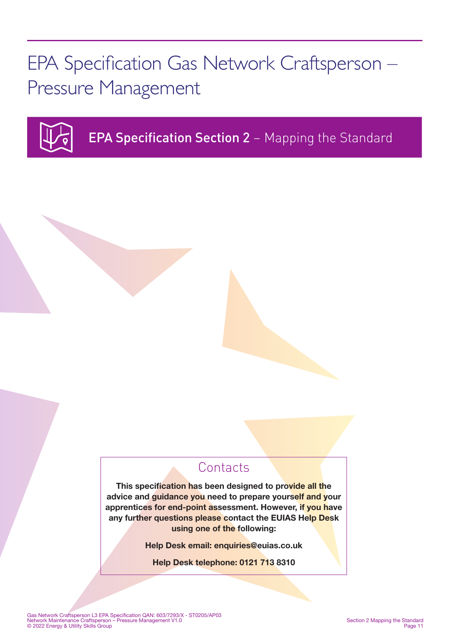EPA Specification Gas Network Craftsperson – Pressure Management



EPA Specification Section 2 – Mapping the Standard

## **Contacts**

This specification has been designed to provide all the advice and guidance you need to prepare yourself and your apprentices for end-point assessment. However, if you have any further questions please contact the EUIAS Help Desk using one of the following:

Help Desk email: enquiries@euias.co.uk

Help Desk telephone: 0121 713 8310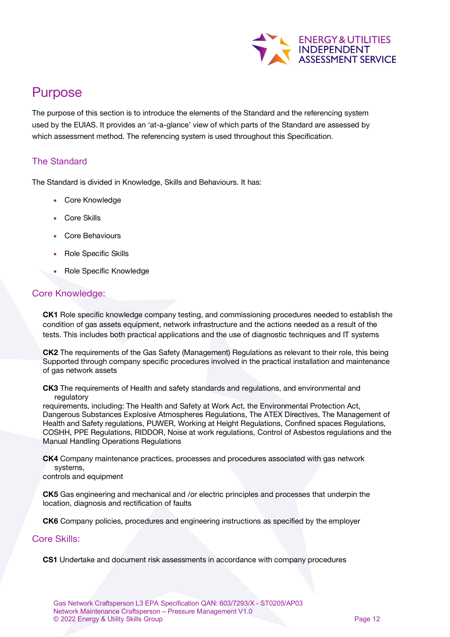

# Purpose

The purpose of this section is to introduce the elements of the Standard and the referencing system used by the EUIAS. It provides an 'at-a-glance' view of which parts of the Standard are assessed by which assessment method. The referencing system is used throughout this Specification.

### The Standard

The Standard is divided in Knowledge, Skills and Behaviours. It has:

- Core Knowledge
- Core Skills
- Core Behaviours
- Role Specific Skills
- Role Specific Knowledge

### Core Knowledge:

CK1 Role specific knowledge company testing, and commissioning procedures needed to establish the condition of gas assets equipment, network infrastructure and the actions needed as a result of the tests. This includes both practical applications and the use of diagnostic techniques and IT systems

CK2 The requirements of the Gas Safety (Management) Regulations as relevant to their role, this being Supported through company specific procedures involved in the practical installation and maintenance of gas network assets

CK3 The requirements of Health and safety standards and regulations, and environmental and regulatory

requirements, including: The Health and Safety at Work Act, the Environmental Protection Act, Dangerous Substances Explosive Atmospheres Regulations, The ATEX Directives, The Management of Health and Safety regulations, PUWER, Working at Height Regulations, Confined spaces Regulations, COSHH, PPE Regulations, RIDDOR, Noise at work regulations, Control of Asbestos regulations and the Manual Handling Operations Regulations

CK4 Company maintenance practices, processes and procedures associated with gas network systems,

controls and equipment

CK5 Gas engineering and mechanical and /or electric principles and processes that underpin the location, diagnosis and rectification of faults

CK6 Company policies, procedures and engineering instructions as specified by the employer

#### Core Skills:

CS1 Undertake and document risk assessments in accordance with company procedures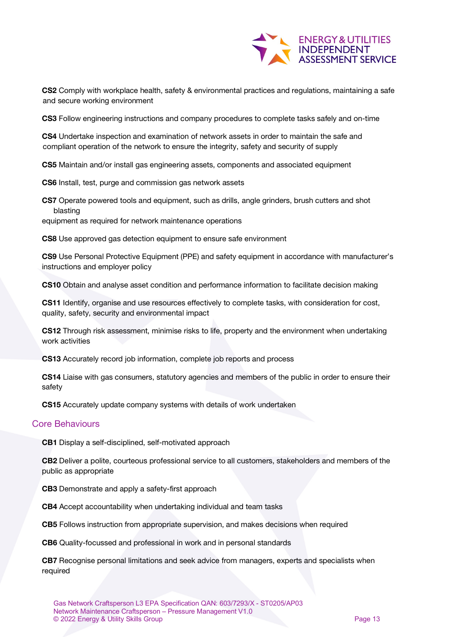

CS2 Comply with workplace health, safety & environmental practices and regulations, maintaining a safe and secure working environment

CS3 Follow engineering instructions and company procedures to complete tasks safely and on-time

CS4 Undertake inspection and examination of network assets in order to maintain the safe and compliant operation of the network to ensure the integrity, safety and security of supply

CS5 Maintain and/or install gas engineering assets, components and associated equipment

CS6 Install, test, purge and commission gas network assets

CS7 Operate powered tools and equipment, such as drills, angle grinders, brush cutters and shot blasting

equipment as required for network maintenance operations

CS8 Use approved gas detection equipment to ensure safe environment

CS9 Use Personal Protective Equipment (PPE) and safety equipment in accordance with manufacturer's instructions and employer policy

CS10 Obtain and analyse asset condition and performance information to facilitate decision making

CS11 Identify, organise and use resources effectively to complete tasks, with consideration for cost, quality, safety, security and environmental impact

CS12 Through risk assessment, minimise risks to life, property and the environment when undertaking work activities

CS13 Accurately record job information, complete job reports and process

CS14 Liaise with gas consumers, statutory agencies and members of the public in order to ensure their safety

CS15 Accurately update company systems with details of work undertaken

#### Core Behaviours

CB1 Display a self-disciplined, self-motivated approach

CB2 Deliver a polite, courteous professional service to all customers, stakeholders and members of the public as appropriate

CB3 Demonstrate and apply a safety-first approach

CB4 Accept accountability when undertaking individual and team tasks

CB5 Follows instruction from appropriate supervision, and makes decisions when required

CB6 Quality-focussed and professional in work and in personal standards

CB7 Recognise personal limitations and seek advice from managers, experts and specialists when required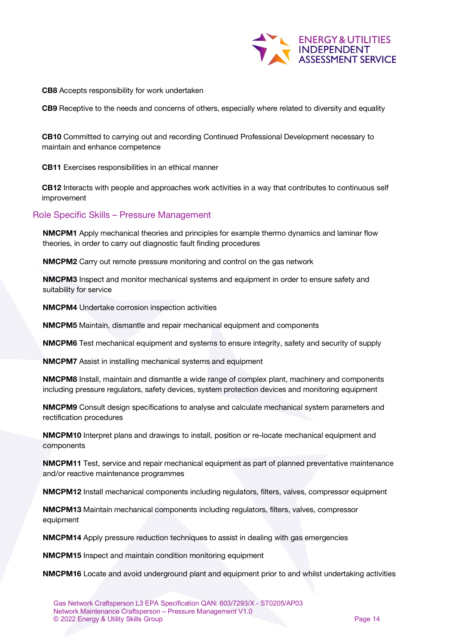

CB8 Accepts responsibility for work undertaken

CB9 Receptive to the needs and concerns of others, especially where related to diversity and equality

CB10 Committed to carrying out and recording Continued Professional Development necessary to maintain and enhance competence

CB11 Exercises responsibilities in an ethical manner

CB12 Interacts with people and approaches work activities in a way that contributes to continuous self improvement

#### Role Specific Skills – Pressure Management

NMCPM1 Apply mechanical theories and principles for example thermo dynamics and laminar flow theories, in order to carry out diagnostic fault finding procedures

NMCPM2 Carry out remote pressure monitoring and control on the gas network

NMCPM3 Inspect and monitor mechanical systems and equipment in order to ensure safety and suitability for service

NMCPM4 Undertake corrosion inspection activities

NMCPM5 Maintain, dismantle and repair mechanical equipment and components

NMCPM6 Test mechanical equipment and systems to ensure integrity, safety and security of supply

NMCPM7 Assist in installing mechanical systems and equipment

NMCPM8 Install, maintain and dismantle a wide range of complex plant, machinery and components including pressure regulators, safety devices, system protection devices and monitoring equipment

NMCPM9 Consult design specifications to analyse and calculate mechanical system parameters and rectification procedures

**NMCPM10** Interpret plans and drawings to install, position or re-locate mechanical equipment and components

NMCPM11 Test, service and repair mechanical equipment as part of planned preventative maintenance and/or reactive maintenance programmes

NMCPM12 Install mechanical components including regulators, filters, valves, compressor equipment

NMCPM13 Maintain mechanical components including regulators, filters, valves, compressor equipment

NMCPM14 Apply pressure reduction techniques to assist in dealing with gas emergencies

NMCPM15 Inspect and maintain condition monitoring equipment

NMCPM16 Locate and avoid underground plant and equipment prior to and whilst undertaking activities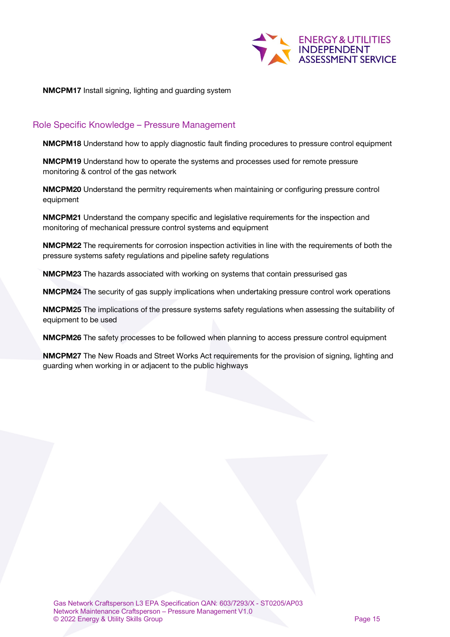

NMCPM17 Install signing, lighting and guarding system

### Role Specific Knowledge – Pressure Management

NMCPM18 Understand how to apply diagnostic fault finding procedures to pressure control equipment

NMCPM19 Understand how to operate the systems and processes used for remote pressure monitoring & control of the gas network

NMCPM20 Understand the permitry requirements when maintaining or configuring pressure control equipment

NMCPM21 Understand the company specific and legislative requirements for the inspection and monitoring of mechanical pressure control systems and equipment

NMCPM22 The requirements for corrosion inspection activities in line with the requirements of both the pressure systems safety regulations and pipeline safety regulations

NMCPM23 The hazards associated with working on systems that contain pressurised gas

NMCPM24 The security of gas supply implications when undertaking pressure control work operations

NMCPM25 The implications of the pressure systems safety regulations when assessing the suitability of equipment to be used

NMCPM26 The safety processes to be followed when planning to access pressure control equipment

NMCPM27 The New Roads and Street Works Act requirements for the provision of signing, lighting and guarding when working in or adjacent to the public highways